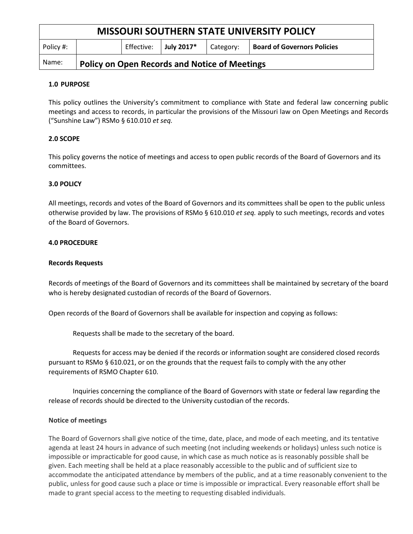| <b>MISSOURI SOUTHERN STATE UNIVERSITY POLICY</b> |                                                      |            |            |           |                                    |
|--------------------------------------------------|------------------------------------------------------|------------|------------|-----------|------------------------------------|
| Policy #:                                        |                                                      | Effective: | July 2017* | Category: | <b>Board of Governors Policies</b> |
| Name:                                            | <b>Policy on Open Records and Notice of Meetings</b> |            |            |           |                                    |

### **1.0 PURPOSE**

This policy outlines the University's commitment to compliance with State and federal law concerning public meetings and access to records, in particular the provisions of the Missouri law on Open Meetings and Records ("Sunshine Law") RSMo § 610.010 *et seq.*

## **2.0 SCOPE**

This policy governs the notice of meetings and access to open public records of the Board of Governors and its committees.

### **3.0 POLICY**

All meetings, records and votes of the Board of Governors and its committees shall be open to the public unless otherwise provided by law. The provisions of RSMo § 610.010 *et seq.* apply to such meetings, records and votes of the Board of Governors.

### **4.0 PROCEDURE**

#### **Records Requests**

Records of meetings of the Board of Governors and its committees shall be maintained by secretary of the board who is hereby designated custodian of records of the Board of Governors.

Open records of the Board of Governors shall be available for inspection and copying as follows:

Requests shall be made to the secretary of the board.

Requests for access may be denied if the records or information sought are considered closed records pursuant to RSMo § 610.021, or on the grounds that the request fails to comply with the any other requirements of RSMO Chapter 610.

Inquiries concerning the compliance of the Board of Governors with state or federal law regarding the release of records should be directed to the University custodian of the records.

### **Notice of meetings**

The Board of Governors shall give notice of the time, date, place, and mode of each meeting, and its tentative agenda at least 24 hours in advance of such meeting (not including weekends or holidays) unless such notice is impossible or impracticable for good cause, in which case as much notice as is reasonably possible shall be given. Each meeting shall be held at a place reasonably accessible to the public and of sufficient size to accommodate the anticipated attendance by members of the public, and at a time reasonably convenient to the public, unless for good cause such a place or time is impossible or impractical. Every reasonable effort shall be made to grant special access to the meeting to requesting disabled individuals.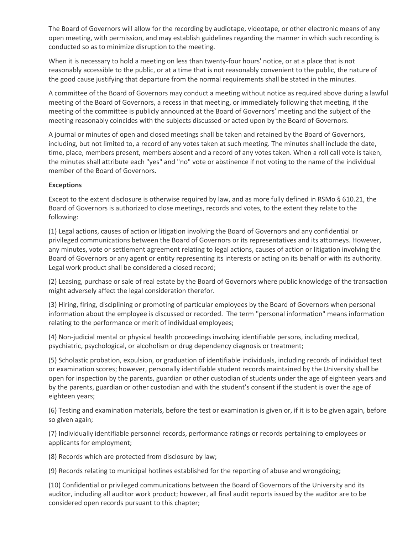The Board of Governors will allow for the recording by audiotape, videotape, or other electronic means of any open meeting, with permission, and may establish guidelines regarding the manner in which such recording is conducted so as to minimize disruption to the meeting.

When it is necessary to hold a meeting on less than twenty-four hours' notice, or at a place that is not reasonably accessible to the public, or at a time that is not reasonably convenient to the public, the nature of the good cause justifying that departure from the normal requirements shall be stated in the minutes.

A committee of the Board of Governors may conduct a meeting without notice as required above during a lawful meeting of the Board of Governors, a recess in that meeting, or immediately following that meeting, if the meeting of the committee is publicly announced at the Board of Governors' meeting and the subject of the meeting reasonably coincides with the subjects discussed or acted upon by the Board of Governors.

A journal or minutes of open and closed meetings shall be taken and retained by the Board of Governors, including, but not limited to, a record of any votes taken at such meeting. The minutes shall include the date, time, place, members present, members absent and a record of any votes taken. When a roll call vote is taken, the minutes shall attribute each "yes" and "no" vote or abstinence if not voting to the name of the individual member of the Board of Governors.

## **Exceptions**

Except to the extent disclosure is otherwise required by law, and as more fully defined in RSMo § 610.21, the Board of Governors is authorized to close meetings, records and votes, to the extent they relate to the following:

(1) Legal actions, causes of action or litigation involving the Board of Governors and any confidential or privileged communications between the Board of Governors or its representatives and its attorneys. However, any minutes, vote or settlement agreement relating to legal actions, causes of action or litigation involving the Board of Governors or any agent or entity representing its interests or acting on its behalf or with its authority. Legal work product shall be considered a closed record;

(2) Leasing, purchase or sale of real estate by the Board of Governors where public knowledge of the transaction might adversely affect the legal consideration therefor.

(3) Hiring, firing, disciplining or promoting of particular employees by the Board of Governors when personal information about the employee is discussed or recorded. The term "personal information" means information relating to the performance or merit of individual employees;

(4) Non-judicial mental or physical health proceedings involving identifiable persons, including medical, psychiatric, psychological, or alcoholism or drug dependency diagnosis or treatment;

(5) Scholastic probation, expulsion, or graduation of identifiable individuals, including records of individual test or examination scores; however, personally identifiable student records maintained by the University shall be open for inspection by the parents, guardian or other custodian of students under the age of eighteen years and by the parents, guardian or other custodian and with the student's consent if the student is over the age of eighteen years;

(6) Testing and examination materials, before the test or examination is given or, if it is to be given again, before so given again;

(7) Individually identifiable personnel records, performance ratings or records pertaining to employees or applicants for employment;

(8) Records which are protected from disclosure by law;

(9) Records relating to municipal hotlines established for the reporting of abuse and wrongdoing;

(10) Confidential or privileged communications between the Board of Governors of the University and its auditor, including all auditor work product; however, all final audit reports issued by the auditor are to be considered open records pursuant to this chapter;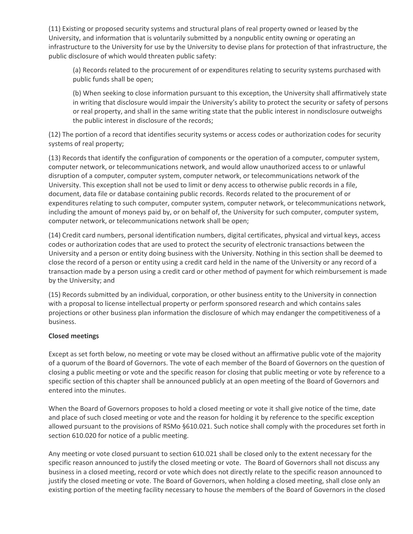(11) Existing or proposed security systems and structural plans of real property owned or leased by the University, and information that is voluntarily submitted by a nonpublic entity owning or operating an infrastructure to the University for use by the University to devise plans for protection of that infrastructure, the public disclosure of which would threaten public safety:

(a) Records related to the procurement of or expenditures relating to security systems purchased with public funds shall be open;

(b) When seeking to close information pursuant to this exception, the University shall affirmatively state in writing that disclosure would impair the University's ability to protect the security or safety of persons or real property, and shall in the same writing state that the public interest in nondisclosure outweighs the public interest in disclosure of the records;

(12) The portion of a record that identifies security systems or access codes or authorization codes for security systems of real property;

(13) Records that identify the configuration of components or the operation of a computer, computer system, computer network, or telecommunications network, and would allow unauthorized access to or unlawful disruption of a computer, computer system, computer network, or telecommunications network of the University. This exception shall not be used to limit or deny access to otherwise public records in a file, document, data file or database containing public records. Records related to the procurement of or expenditures relating to such computer, computer system, computer network, or telecommunications network, including the amount of moneys paid by, or on behalf of, the University for such computer, computer system, computer network, or telecommunications network shall be open;

(14) Credit card numbers, personal identification numbers, digital certificates, physical and virtual keys, access codes or authorization codes that are used to protect the security of electronic transactions between the University and a person or entity doing business with the University. Nothing in this section shall be deemed to close the record of a person or entity using a credit card held in the name of the University or any record of a transaction made by a person using a credit card or other method of payment for which reimbursement is made by the University; and

(15) Records submitted by an individual, corporation, or other business entity to the University in connection with a proposal to license intellectual property or perform sponsored research and which contains sales projections or other business plan information the disclosure of which may endanger the competitiveness of a business.

### **Closed meetings**

Except as set forth below, no meeting or vote may be closed without an affirmative public vote of the majority of a quorum of the Board of Governors. The vote of each member of the Board of Governors on the question of closing a public meeting or vote and the specific reason for closing that public meeting or vote by reference to a specific section of this chapter shall be announced publicly at an open meeting of the Board of Governors and entered into the minutes.

When the Board of Governors proposes to hold a closed meeting or vote it shall give notice of the time, date and place of such closed meeting or vote and the reason for holding it by reference to the specific exception allowed pursuant to the provisions of RSMo §610.021. Such notice shall comply with the procedures set forth in section 610.020 for notice of a public meeting.

Any meeting or vote closed pursuant to section 610.021 shall be closed only to the extent necessary for the specific reason announced to justify the closed meeting or vote. The Board of Governors shall not discuss any business in a closed meeting, record or vote which does not directly relate to the specific reason announced to justify the closed meeting or vote. The Board of Governors, when holding a closed meeting, shall close only an existing portion of the meeting facility necessary to house the members of the Board of Governors in the closed